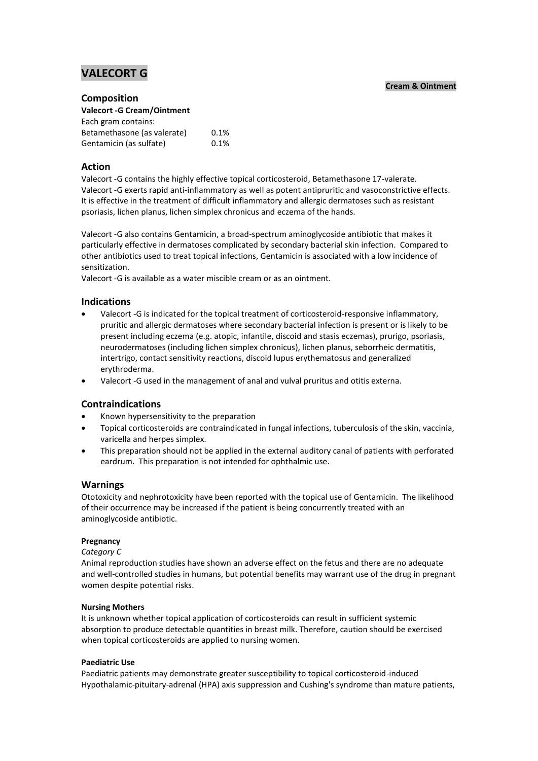# **VALECORT G**

#### **Cream & Ointment**

#### **Composition**

**Valecort -G Cream/Ointment**

| Each gram contains:         |      |
|-----------------------------|------|
| Betamethasone (as valerate) | 0.1% |
| Gentamicin (as sulfate)     | 0.1% |

# **Action**

Valecort -G contains the highly effective topical corticosteroid, Betamethasone 17-valerate. Valecort -G exerts rapid anti-inflammatory as well as potent antipruritic and vasoconstrictive effects. It is effective in the treatment of difficult inflammatory and allergic dermatoses such as resistant psoriasis, lichen planus, lichen simplex chronicus and eczema of the hands.

Valecort -G also contains Gentamicin, a broad-spectrum aminoglycoside antibiotic that makes it particularly effective in dermatoses complicated by secondary bacterial skin infection. Compared to other antibiotics used to treat topical infections, Gentamicin is associated with a low incidence of sensitization.

Valecort -G is available as a water miscible cream or as an ointment.

## **Indications**

- Valecort -G is indicated for the topical treatment of corticosteroid-responsive inflammatory, pruritic and allergic dermatoses where secondary bacterial infection is present or is likely to be present including eczema (e.g. atopic, infantile, discoid and stasis eczemas), prurigo, psoriasis, neurodermatoses (including lichen simplex chronicus), lichen planus, seborrheic dermatitis, intertrigo, contact sensitivity reactions, discoid lupus erythematosus and generalized erythroderma.
- Valecort -G used in the management of anal and vulval pruritus and otitis externa.

## **Contraindications**

- Known hypersensitivity to the preparation
- Topical corticosteroids are contraindicated in fungal infections, tuberculosis of the skin, vaccinia, varicella and herpes simplex.
- This preparation should not be applied in the external auditory canal of patients with perforated eardrum. This preparation is not intended for ophthalmic use.

## **Warnings**

Ototoxicity and nephrotoxicity have been reported with the topical use of Gentamicin. The likelihood of their occurrence may be increased if the patient is being concurrently treated with an aminoglycoside antibiotic.

#### **Pregnancy**

#### *Category C*

Animal reproduction studies have shown an adverse effect on the fetus and there are no adequate and well-controlled studies in humans, but potential benefits may warrant use of the drug in pregnant women despite potential risks.

#### **Nursing Mothers**

It is unknown whether topical application of corticosteroids can result in sufficient systemic absorption to produce detectable quantities in breast milk. Therefore, caution should be exercised when topical corticosteroids are applied to nursing women.

#### **Paediatric Use**

Paediatric patients may demonstrate greater susceptibility to topical corticosteroid-induced Hypothalamic-pituitary-adrenal (HPA) axis suppression and Cushing's syndrome than mature patients,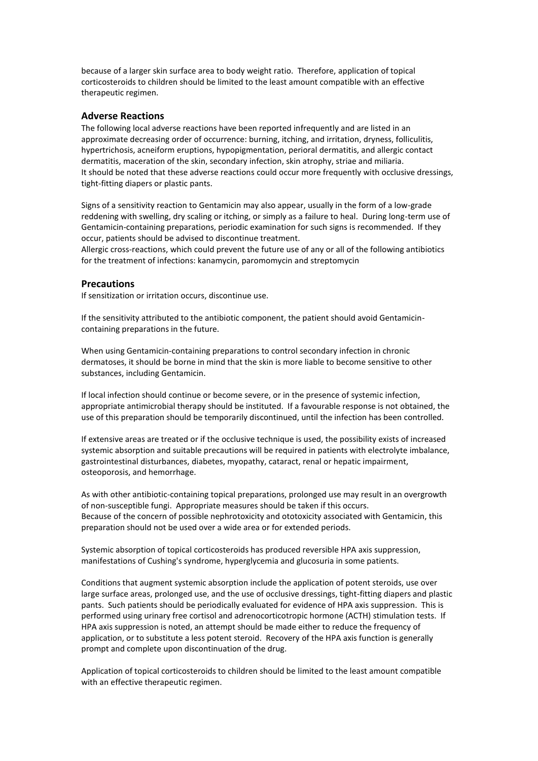because of a larger skin surface area to body weight ratio. Therefore, application of topical corticosteroids to children should be limited to the least amount compatible with an effective therapeutic regimen.

#### **Adverse Reactions**

The following local adverse reactions have been reported infrequently and are listed in an approximate decreasing order of occurrence: burning, itching, and irritation, dryness, folliculitis, hypertrichosis, acneiform eruptions, hypopigmentation, perioral dermatitis, and allergic contact dermatitis, maceration of the skin, secondary infection, skin atrophy, striae and miliaria. It should be noted that these adverse reactions could occur more frequently with occlusive dressings, tight-fitting diapers or plastic pants.

Signs of a sensitivity reaction to Gentamicin may also appear, usually in the form of a low-grade reddening with swelling, dry scaling or itching, or simply as a failure to heal. During long-term use of Gentamicin-containing preparations, periodic examination for such signs is recommended. If they occur, patients should be advised to discontinue treatment.

Allergic cross-reactions, which could prevent the future use of any or all of the following antibiotics for the treatment of infections: kanamycin, paromomycin and streptomycin

#### **Precautions**

If sensitization or irritation occurs, discontinue use.

If the sensitivity attributed to the antibiotic component, the patient should avoid Gentamicincontaining preparations in the future.

When using Gentamicin-containing preparations to control secondary infection in chronic dermatoses, it should be borne in mind that the skin is more liable to become sensitive to other substances, including Gentamicin.

If local infection should continue or become severe, or in the presence of systemic infection, appropriate antimicrobial therapy should be instituted. If a favourable response is not obtained, the use of this preparation should be temporarily discontinued, until the infection has been controlled.

If extensive areas are treated or if the occlusive technique is used, the possibility exists of increased systemic absorption and suitable precautions will be required in patients with electrolyte imbalance, gastrointestinal disturbances, diabetes, myopathy, cataract, renal or hepatic impairment, osteoporosis, and hemorrhage.

As with other antibiotic-containing topical preparations, prolonged use may result in an overgrowth of non-susceptible fungi. Appropriate measures should be taken if this occurs. Because of the concern of possible nephrotoxicity and ototoxicity associated with Gentamicin, this preparation should not be used over a wide area or for extended periods.

Systemic absorption of topical corticosteroids has produced reversible HPA axis suppression, manifestations of Cushing's syndrome, hyperglycemia and glucosuria in some patients.

Conditions that augment systemic absorption include the application of potent steroids, use over large surface areas, prolonged use, and the use of occlusive dressings, tight-fitting diapers and plastic pants. Such patients should be periodically evaluated for evidence of HPA axis suppression. This is performed using urinary free cortisol and adrenocorticotropic hormone (ACTH) stimulation tests. If HPA axis suppression is noted, an attempt should be made either to reduce the frequency of application, or to substitute a less potent steroid. Recovery of the HPA axis function is generally prompt and complete upon discontinuation of the drug.

Application of topical corticosteroids to children should be limited to the least amount compatible with an effective therapeutic regimen.